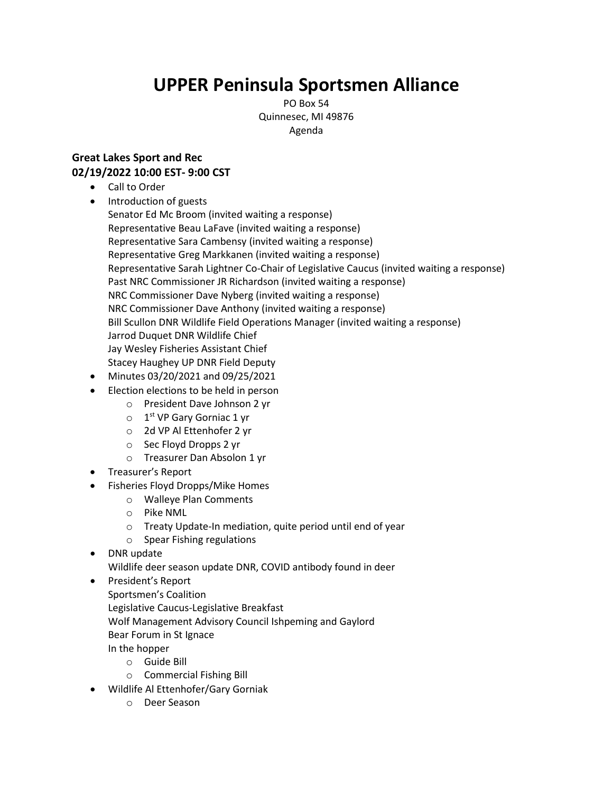## **UPPER Peninsula Sportsmen Alliance**

PO Box 54 Quinnesec, MI 49876 Agenda

## **Great Lakes Sport and Rec 02/19/2022 10:00 EST- 9:00 CST**

- Call to Order
- Introduction of guests Senator Ed Mc Broom (invited waiting a response) Representative Beau LaFave (invited waiting a response) Representative Sara Cambensy (invited waiting a response) Representative Greg Markkanen (invited waiting a response) Representative Sarah Lightner Co-Chair of Legislative Caucus (invited waiting a response) Past NRC Commissioner JR Richardson (invited waiting a response) NRC Commissioner Dave Nyberg (invited waiting a response) NRC Commissioner Dave Anthony (invited waiting a response) Bill Scullon DNR Wildlife Field Operations Manager (invited waiting a response) Jarrod Duquet DNR Wildlife Chief Jay Wesley Fisheries Assistant Chief Stacey Haughey UP DNR Field Deputy
- Minutes 03/20/2021 and 09/25/2021
- Election elections to be held in person
	- o President Dave Johnson 2 yr
	- $\circ$  1<sup>st</sup> VP Gary Gorniac 1 yr
	- o 2d VP Al Ettenhofer 2 yr
	- o Sec Floyd Dropps 2 yr
	- o Treasurer Dan Absolon 1 yr
- Treasurer's Report
- Fisheries Floyd Dropps/Mike Homes
	- o Walleye Plan Comments
	- o Pike NML
	- o Treaty Update-In mediation, quite period until end of year
	- o Spear Fishing regulations
- DNR update

Wildlife deer season update DNR, COVID antibody found in deer

- President's Report
	- Sportsmen's Coalition

Legislative Caucus-Legislative Breakfast

- Wolf Management Advisory Council Ishpeming and Gaylord
- Bear Forum in St Ignace

In the hopper

- o Guide Bill
- o Commercial Fishing Bill
- Wildlife Al Ettenhofer/Gary Gorniak
	- o Deer Season